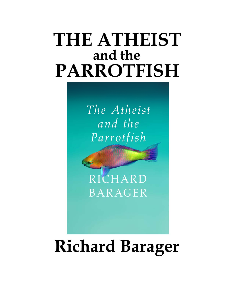# **THE ATHEIST** and the **PARROTFISH**

The Atheist and the Parrotfish

RICHARD **BARAGER** 

**Richard Barager**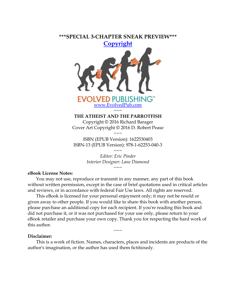## **\*\*\*SPECIAL 3-CHAPTER SNEAK PREVIEW\*\*\***



### **THE ATHEIST AND THE PARROTFISH**

Copyright © 2016 Richard Barager Cover Art Copyright © 2016 D. Robert Pease

ISBN (EPUB Version): 1622530403 ISBN-13 (EPUB Version): 978-1-62253-040-3

 $\sim\sim\sim$ 

 $\sim\sim\sim$ *Editor: Eric Pinder Interior Designer: Lane Diamond*  ~~~~

#### **eBook License Notes:**

You may not use, reproduce or transmit in any manner, any part of this book without written permission, except in the case of brief quotations used in critical articles and reviews, or in accordance with federal Fair Use laws. All rights are reserved.

This eBook is licensed for your personal enjoyment only; it may not be resold or given away to other people. If you would like to share this book with another person, please purchase an additional copy for each recipient. If you're reading this book and did not purchase it, or it was not purchased for your use only, please return to your eBook retailer and purchase your own copy. Thank you for respecting the hard work of this author.

**Disclaimer:** 

This is a work of fiction. Names, characters, places and incidents are products of the author's imagination, or the author has used them fictitiously.

 $\sim\sim\sim$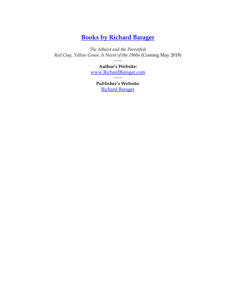# **Books by Richard Barager**

*The Atheist and the Parrotfish Red Clay, Yellow Grass: A Novel of the 1960s* (Coming May 2018)

 $\sim\sim\sim$ 

**Author's Website:**  www.RichardBarager.com  $\sim\sim\sim$ 

**Publisher's Website:**  Richard Barager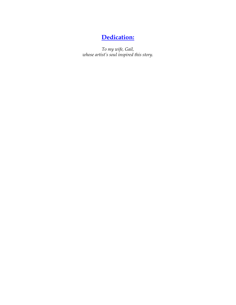# **Dedication:**

*To my wife, Gail, whose artist's soul inspired this story.*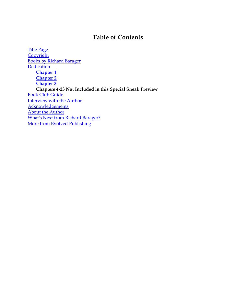# **Table of Contents**

Title Page Copyright Books by Richard Barager **Dedication Chapter 1 Chapter 2 Chapter 3 Chapters 4-23 Not Included in this Special Sneak Preview**  Book Club Guide Interview with the Author Acknowledgements About the Author What's Next from Richard Barager? More from Evolved Publishing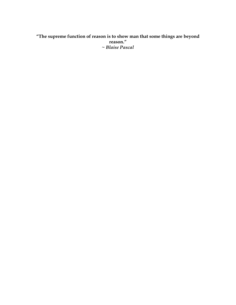#### **"The supreme function of reason is to show man that some things are beyond reason."**  *~ Blaise Pascal*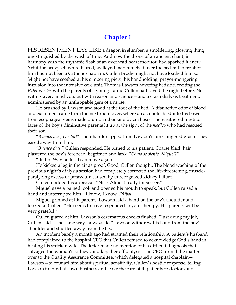# **Chapter 1**

HIS RESENTMENT LAY LIKE a dragon in slumber, a smoldering, glowing thing unextinguished by the wash of time. And now the drone of an ancient chant, in harmony with the rhythmic flash of an overhead heart monitor, had sparked it anew. Yet if the heavyset, white-haired, walleyed man hunched over the bed rail in front of him had not been a Catholic chaplain, Cullen Brodie might not have loathed him so. Might not have seethed at his simpering piety, his handholding, prayer-mongering intrusion into the intensive care unit. Thomas Lawson hovering bedside, reciting the *Pater Noster* with the parents of a young Latino Cullen had saved the night before. Not with prayer, mind you, but with reason and science—and a crash dialysis treatment, administered by an unflappable gem of a nurse.

He brushed by Lawson and stood at the foot of the bed. A distinctive odor of blood and excrement came from the next room over, where an alcoholic bled into his bowel from esophageal veins made plump and oozing by cirrhosis. The weathered mestizo faces of the boy's diminutive parents lit up at the sight of the *médico* who had rescued their son.

"*Buenos días, Doctor*!" Their hands slipped from Lawson's pink-fingered grasp. They eased away from him.

"*Buenos días,*" Cullen responded. He turned to his patient. Coarse black hair plastered the boy's forehead, begrimed and lank. "*Cómo se siente, Miguel*?"

"Better. Way better. I can move again."

He kicked a leg in the air as proof. Good, Cullen thought. The blood washing of the previous night's dialysis session had completely corrected the life-threatening, muscleparalyzing excess of potassium caused by unrecognized kidney failure.

Cullen nodded his approval. "Nice. Almost ready for soccer."

Miguel gave a pained look and opened his mouth to speak, but Cullen raised a hand and interrupted him. "I know, I know*. Fútbol*."

Miguel grinned at his parents. Lawson laid a hand on the boy's shoulder and looked at Cullen. "He seems to have responded to your therapy. His parents will be very grateful."

Cullen glared at him. Lawson's eczematous cheeks flushed. "Just doing my job," Cullen said. "The same way I always do." Lawson withdrew his hand from the boy's shoulder and shuffled away from the bed.

An incident barely a month ago had strained their relationship. A patient's husband had complained to the hospital CEO that Cullen refused to acknowledge God's hand in healing his stricken wife. The letter made no mention of his difficult diagnosis that salvaged the woman's kidneys and kept her off dialysis. The CEO turned the matter over to the Quality Assurance Committee, which delegated a hospital chaplain— Lawson—to counsel him about spiritual sensitivity. Cullen's hostile response, telling Lawson to mind his own business and leave the care of ill patients to doctors and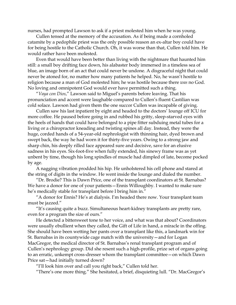nurses, had prompted Lawson to ask if a priest molested him when he was young.

Cullen tensed at the memory of the accusation. As if being made a cornholed catamite by a pedophile priest was the only possible reason an ex-altar boy could have for being hostile to the Catholic Church. Oh, it was worse than that, Cullen told him. He would rather have been molested.

Even that would have been better than living with the nightmare that haunted him still: a small boy drifting face down, his alabaster body immersed in a timeless sea of blue, an image born of an act that could never be undone. A disgraceful night that could never be atoned for, no matter how many patients he helped. No, he wasn't hostile to religion because a man of God molested him; he was hostile because there *was* no God. No loving and omnipotent God would ever have permitted such a thing.

"*Vaya con Dios*," Lawson said to Miguel's parents before leaving. That his pronunciation and accent were laughable compared to Cullen's fluent Castilian was cold solace. Lawson had given them the one succor Cullen was incapable of giving.

Cullen saw his last inpatient by eight and headed to the doctors' lounge off ICU for more coffee. He paused before going in and rubbed his gritty, sleep-starved eyes with the heels of hands that could have belonged to a pipe fitter subduing metal tubes for a living or a chiropractor kneading and twisting spines all day. Instead, they were the huge, corded hands of a 54-year-old nephrologist with thinning hair, dyed brown and swept back, the way he had worn it for thirty-five years. Owing to a strong jaw and sharp chin, his deeply rilled face appeared sure and decisive, save for an elusive sadness in his eyes. Six-foot-five when fully extended, his sinewy frame was as yet unbent by time, though his long spindles of muscle had dimpled of late, become pocked by age.

A nagging vibration prodded his hip. He unholstered his cell phone and stared at the string of digits in the window. He went inside the lounge and dialed the number.

"Dr. Brodie? This is Dawn Price, one of the transplant coordinators at St. Barnabas? We have a donor for one of your patients—Ennis Willoughby. I wanted to make sure he's medically stable for transplant before I bring him in."

"A donor for Ennis? He's at dialysis. I'm headed there now. Your transplant team must be jazzed."

"It's causing quite a buzz. Simultaneous heart-kidney transplants are pretty rare, even for a program the size of ours."

He detected a bittersweet tone to her voice, and what was that about? Coordinators were usually ebullient when they called, the Gift of Life in hand, a miracle in the offing. She should have been wetting her pants over a transplant like this, a landmark win for St. Barnabas in its countywide cage match with the university—and for Logan MacGregor, the medical director of St. Barnabas's renal transplant program and of Cullen's nephrology group. Did she resent such a high-profile, prize set of organs going to an erratic, unkempt cross-dresser whom the transplant committee—on which Dawn Price sat—had initially turned down?

"I'll look him over and call you right back," Cullen told her.

"There's one more thing." She hesitated, a brief, disquieting lull. "Dr. MacGregor's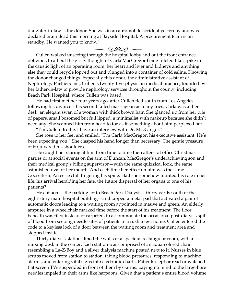daughter-in-law is the donor. She was in an automobile accident yesterday and was declared brain dead this morning at Bayside Hospital. A procurement team is on standby. He wanted you to know."

#### $\bigcirc$  and  $\bigcirc$

Cullen walked unseeing through the hospital lobby and out the front entrance, oblivious to all but the grisly thought of Carla MacGregor being filleted like a pike in the caustic light of an operating room, her heart and liver and kidneys and anything else they could recycle lopped out and plunged into a container of cold saline. Knowing the donor changed things. Especially this donor, the administrative assistant of Nephrology Partners Inc., Cullen's twenty-five-physician medical practice, founded by her father-in-law to provide nephrology services throughout the county, including Beach Park Hospital, where Cullen was based.

He had first met her four years ago, after Cullen fled south from Los Angeles following his divorce—his second failed marriage in as many tries. Carla was at her desk, an elegant swan of a woman with thick brown hair. She glanced up from her pile of papers, small bosomed but full lipped, a minimalist with makeup because she didn't need any. She scanned him from head to toe as if something about him perplexed her.

"I'm Cullen Brodie. I have an interview with Dr. MacGregor."

She rose to her feet and smiled. "I'm Carla MacGregor, his executive assistant. He's been expecting you." She clasped his hand longer than necessary. The gentle pressure of it quivered his shoulders.

He caught her staring at him from time to time thereafter—at office Christmas parties or at social events on the arm of Duncan, MacGregor's underachieving son and their medical group's billing supervisor—with the same quizzical look, the same astonished oval of her mouth. And each time her effect on him was the same. Gooseflesh. An eerie chill fingering his spine. Had she somehow intuited his role in her life, his arrival heralding her fate, the future dispersal of her organs to one of his patients?

He cut across the parking lot to Beach Park Dialysis—thirty yards south of the eight-story main hospital building—and tapped a metal pad that activated a pair of automatic doors leading to a waiting room appointed in mauve and green. An elderly amputee in a wheelchair marked time before the start of his treatment. The floor beneath was tiled instead of carpeted, to accommodate the occasional post-dialysis spill of blood from seeping needle sites of patients in a rush to get home. Cullen entered the code to a keyless lock of a door between the waiting room and treatment area and stepped inside.

Thirty dialysis stations lined the walls of a spacious rectangular room, with a nursing desk in the center. Each station was comprised of an aqua-colored chair resembling a La-Z-Boy and a silver dialysis machine posted next to it. Nurses in blue scrubs moved from station to station, taking blood pressures, responding to machine alarms, and entering vital signs into electronic charts. Patients slept or read or watched flat-screen TVs suspended in front of them by c-arms, paying no mind to the large-bore needles impaled in their arms like harpoons. Given that a patient's entire blood volume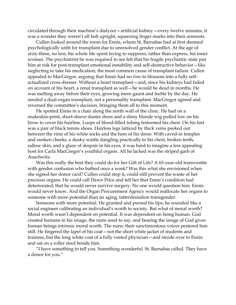circulated through their machine's dialyzer—artificial kidney—every twelve minutes, it was a wonder they weren't all bolt upright, squeezing finger marks into their armrests.

Cullen looked around the room for Ennis, whom St. Barnabas had at first deemed psychologically unfit for transplant due to unresolved gender conflict. At the age of sixty-three, no less, his whole life spent trying to suppress, rather than express, his inner woman. The psychiatrist he was required to see felt that his fragile psychiatric state put him at risk for post-transplant emotional instability and self-destructive behavior—like neglecting to take his medication, the most common cause of transplant failure. Cullen appealed to MacGregor, arguing that Ennis had no *time* to blossom into a fully selfactualized cross-dresser. Without a heart transplant—and, since his kidneys had failed on account of his heart, a renal transplant as well—he would be dead in months. He was melting away before their eyes, growing more gaunt and feeble by the day. He needed a dual-organ transplant, not a personality transplant. MacGregor agreed and reversed the committee's decision, bringing them all to this moment.

He spotted Ennis in a chair along the north wall of the clinic. He had on a snakeskin-print, short-sleeve duster dress and a shiny blonde wig pulled low on his brow to cover his hairline. Loops of blood-filled tubing festooned his chest. On his feet was a pair of black tennis shoes. Hairless legs latticed by thick veins peeked out between the rims of his white socks and the hem of his dress. With caved-in temples and sunken cheeks, a dusky wattle dangling practically to his chest, broken teeth, sallow skin, and a glaze of despair in his eyes, it was hard to imagine a less appealing host for Carla MacGregor's youthful organs. All he lacked was the striped garb of Auschwitz.

Was this really the best they could do for her Gift of Life? A 63-year-old transvestite with gender confusion who bathed once a week? Was this what she envisioned when she signed her donor card? Cullen could stop it, could still prevent the waste of her precious organs. He could call Dawn Price and tell her that Ennis's condition had deteriorated, that he would never survive surgery. No one would question him. Ennis would never know. And the Organ Procurement Agency would reallocate her organs to someone with more potential than an aging, tatterdemalion transgender.

Someone with more potential. He grunted and pursed his lips; he sounded like a social engineer calibrating an individual's worth to society. But what of moral worth? Moral worth wasn't dependent on potential. It was dependent on being human. God created humans in his image*,* the nuns used to say, and bearing the image of God gives human beings intrinsic moral worth. The nuns: their sanctimonious voices pestered him still. He fingered the lapel of his coat—not the short white jacket of students and trainees, but the long white coat of a fully vested physician—and strode over to Ennis and sat on a roller stool beside him.

"I have something to tell you. Something wonderful. St. Barnabas called. They have a donor for you."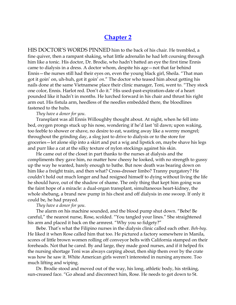# **Chapter 2**

HIS DOCTOR'S WORDS PINNED him to the back of his chair. He trembled, a fine quiver, then a rampant shaking, what little adrenalin he had left coursing through him like a tonic. His doctor, Dr. Brodie, who hadn't batted an eye the first time Ennis came to dialysis in a dress. A doctor whom, despite his age—not that far behind Ennis—the nurses still had their eyes on, even the young black girl, Sheila. "That man got it goin' on, uh-huh, got it goin' *on*." The doctor who teased him about getting his nails done at the same Vietnamese place their clinic manager, Toni, went to. "They stock one color, Ennis. Harlot red. Don't do it." His used-past-expiration-date of a heart pounded like it hadn't in months. He lurched forward in his chair and thrust his right arm out. His fistula arm, heedless of the needles embedded there, the bloodlines fastened to the hubs.

*They have a donor for you*.

Transplant was all Ennis Willoughby thought about. At night, when he fell into bed, oxygen prongs stuck up his nose, wondering if he'd last 'til dawn; upon waking, too feeble to shower or shave, no desire to eat, wasting away like a wormy mongrel; throughout the grinding day, a slog just to drive to dialysis or to the store for groceries—let alone slip into a skirt and put a wig and lipstick on, maybe shave his legs and purr like a cat at the silky texture of nylon stockings against his skin.

He came out of the closet in part thanks to the nurses at dialysis and the compliments they gave him, no matter how cheesy he looked, with no strength to gussy up the way he wanted, barely enough to bathe. But now death was bearing down on him like a freight train, and then what? Cross-dresser limbo? Tranny purgatory? He couldn't hold out much longer and had resigned himself to dying without living the life he should have, out of the shadow of shame. The only thing that kept him going was the faint hope of a miracle: a dual-organ transplant, simultaneous heart-kidney, the whole shebang, a brand new pump in his chest and off dialysis in one swoop. If only it could be, he had prayed.

#### *They have a donor for you.*

The alarm on his machine sounded, and the blood pump shut down. "Bebe! Be careful," the nearest nurse, Rose, scolded. "You tangled your lines." She straightened his arm and placed it back on the armrest. "Why you so fidgety?"

Bebe. That's what the Filipino nurses in the dialysis clinic called each other. *Beh-bay*. He liked it when Rose called him that too. He pictured a factory somewhere in Manila, scores of little brown women rolling off conveyor belts with California stamped on their foreheads. Not that he cared. By and large, they made good nurses, and if it helped fix the nursing shortage Toni was always carping about, then ship them over by the crate was how he saw it. White American girls weren't interested in nursing anymore. Too much lifting and wiping.

Dr. Brodie stood and moved out of the way, his long, athletic body, his striking, sun-creased face. "Go ahead and disconnect him, Rose. He needs to get down to St.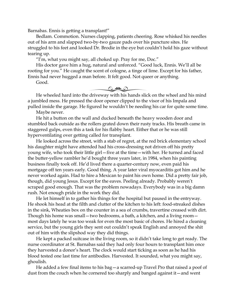Barnabas. Ennis is getting a transplant!"

Bedlam. Commotion. Nurses clapping, patients cheering. Rose whisked his needles out of his arm and slapped two-by-two gauze pads over his puncture sites. He struggled to his feet and looked Dr. Brodie in the eye but couldn't hold his gaze without tearing up.

"I'm, what you might say, all choked up. Pray for me, Doc."

His doctor gave him a hug, natural and unforced. "Good luck, Ennis. We'll all be rooting for you." He caught the scent of cologne, a tinge of lime. Except for his father, Ennis had never hugged a man before. It felt good. Not queer or anything.

Good.

## $\frac{1}{\sqrt{2}}$

He wheeled hard into the driveway with his hands slick on the wheel and his mind a jumbled mess. He pressed the door opener clipped to the visor of his Impala and pulled inside the garage. He figured he wouldn't be needing his car for quite some time.

Maybe never.

He hit a button on the wall and ducked beneath the heavy wooden door and stumbled back outside as the rollers grated down their rusty tracks. His breath came in staggered gulps, even this a task for his flabby heart. Either that or he was still hyperventilating over getting called for transplant.

He looked across the street, with a stab of regret, at the red brick elementary school his daughter might have attended had his cross-dressing not driven off his pretty young wife, who took their little girl—five at the time—with her. He turned and faced the butter-yellow rambler he'd bought three years later, in 1984, when his painting business finally took off. He'd lived there a quarter-century now, even paid his mortgage off ten years early. Good thing. A year later viral myocarditis got him and he never worked again. Had to hire a Mexican to paint his own home. Did a pretty fair job, though, did young Jesus. Except for the eaves. Peeling already. Probably weren't scraped good enough. That was the problem nowadays. Everybody was in a big damn rush. Not enough pride in the work they did.

He let himself in to gather his things for the hospital but paused in the entryway. He shook his head at the filth and clutter of the kitchen to his left: food-streaked dishes in the sink, Wheaties box on the counter in a sea of crumbs, travertine creased with dirt. Though his home was small—two bedrooms, a bath, a kitchen, and a living room most days lately he was too weak for even the most basic of chores. He hired a cleaning service, but the young girls they sent out couldn't speak English and annoyed the shit out of him with the slipshod way they did things.

He kept a packed suitcase in the living room, so it didn't take long to get ready. The nurse coordinator at St. Barnabas said they had only four hours to transplant him once they harvested a donor's heart. The clock would start ticking as soon as he had his blood tested one last time for antibodies. Harvested. It sounded, what you might say, ghoulish.

He added a few final items to his bag—a scarred-up Travel Pro that raised a poof of dust from the couch when he cornered too sharply and banged against it—and went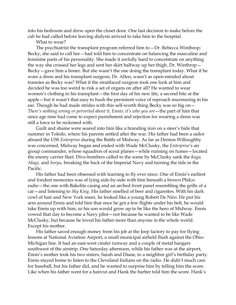into his bedroom and drew open the closet door. One last decision to make before the cab he had called before leaving dialysis arrived to take him to the hospital.

What to wear?

The psychiatrist the transplant program referred him to—Dr. Rebecca Winthrop; Becky, she said to call her—had told him to concentrate on balancing the masculine and feminine parts of his personality. She made it awfully hard to concentrate on anything the way she crossed her legs and sent her skirt halfway up her thigh. Dr. Winthrop— Becky—gave him a boner. But she wasn't the one doing the transplant today. What if he wore a dress and his transplant surgeon, Dr. Allen, wasn't as open-minded about trannies as Becky was? What if the straitlaced surgeon took one look at him and decided he was too weird to risk a set of organs on after all? He wanted to wear women's clothing to his transplant—the first day of his new life, a second bite at the apple—but it wasn't that easy to hush the persistent voice of reproach murmuring in his ear. Though he had made strides with this self-worth thing Becky was so big on— *There's nothing wrong or perverted about it, Ennis; it's who you are*—the part of him that since age nine had come to expect punishment and rejection for wearing a dress was still a force to be reckoned with.

Guilt and shame were seared into him like a branding iron on a steer's hide that summer in Toledo, where his parents settled after the war. His father had been a sailor aboard the USS *Enterprise* during the Battle of Midway. As far as Denton Willoughby was concerned, Midway began and ended with Wade McClusky, the *Enterprise*'s air group commander, whose squadron of scout planes—while running on fumes—located the enemy carrier fleet. Dive-bombers called to the scene by McClusky sank the *Kaga, Akagi,* and *Soryu*, breaking the back of the Imperial Navy and turning the tide in the Pacific.

His father had been obsessed with learning to fly ever since. One of Ennis's earliest and fondest memories was of lying side-by-side with him beneath a brown Philco radio—the one with Bakelite casing and an arched front panel resembling the grille of a car—and listening to *Sky King.* His father smelled of beer and cigarettes. With his dark cowl of hair and New York sneer, he looked like a young Robert De Niro. He put his arm around Ennis and told him that once he got a few flights under his belt, he would take Ennis up with him, so his son would grow up to be like the hero of Midway. Ennis vowed that day to become a Navy pilot—not because he wanted to be like Wade McClusky, but because he loved his father more than anyone in the whole world. Except his mother.

His father saved enough money from his job at the Jeep factory to pay for flying lessons at National Aviation Airport, a small municipal airfield flush against the Ohio-Michigan line. It had an east-west cinder runway and a couple of metal hangars southwest of the airstrip. One Saturday afternoon, while his father was at the airport, Ennis's mother took his two sisters, Sarah and Diane, to a neighbor girl's birthday party. Ennis stayed home to listen to the Cleveland Indians on the radio. He didn't much care for baseball, but his father did, and he wanted to surprise him by telling him the score. Like when his father went for a haircut and Hank the barber told him the score. Hank's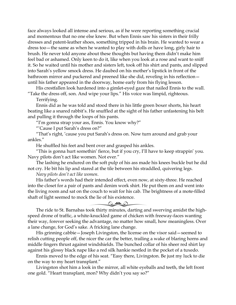face always looked all intense and serious, as if he were reporting something crucial and momentous that no one else knew. But when Ennis saw his sisters in their frilly dresses and patent-leather shoes, something tripped in his brain. He wanted to wear a dress too—the same as when he wanted to play with dolls or have long, girly hair to brush. He never told anyone about these thoughts but having them didn't make him feel bad or ashamed. Only keen to do it, like when you look at a rose and want to sniff it. So he waited until his mother and sisters left, took off his shirt and pants, and slipped into Sarah's yellow smock dress. He daubed on his mother's lipstick in front of the bathroom mirror and puckered and preened like she did, reveling in his reflection until his father appeared in the doorway, home early from his flying lesson.

His crestfallen look hardened into a gimlet-eyed gaze that nailed Ennis to the wall. "Take the dress off, son. And wipe your lips." His voice was limpid, righteous.

Terrifying.

Ennis did as he was told and stood there in his little green boxer shorts, his heart beating like a snared rabbit's. He snuffled at the sight of his father unfastening his belt and pulling it through the loops of his pants.

"I'm gonna strap your ass, Ennis. You know why?"

"'Cause I put Sarah's dress on?"

"That's right, 'cause you put Sarah's dress on. Now turn around and grab your ankles."

He shuffled his feet and bent over and grasped his ankles.

"This is gonna hurt somethin' fierce, but if you cry, I'll have to keep strappin' you. Navy pilots don't act like women. Not ever."

The lashing he endured on the soft pulp of his ass made his knees buckle but he did not cry. He bit his lip and stared at the tile between his straddled, quivering legs.

*Navy pilots don't act like women*.

His father's words had their intended effect, even now, at sixty-three. He reached into the closet for a pair of pants and denim work shirt. He put them on and went into the living room and sat on the couch to wait for his cab. The brightness of a mote-filled shaft of light seemed to mock the lie of his existence.

#### $\bigcirc$  and  $\bigcirc$

The ride to St. Barnabas took thirty minutes, darting and swerving amidst the highspeed drone of traffic, a white-knuckled game of chicken with freeway-faces wanting their way, forever seeking the advantage, no matter how small, how meaningless. Over a lane change, for God's sake. A fricking lane change.

His grinning cabbie—Joseph Livingston, the license on the visor said—seemed to relish cutting people off, the nicer the car the better, trailing a wake of blaring horns and middle fingers thrust against windshields. The bunched collar of his sheer red shirt lay against his glossy black nape like a red silk hankie nestled in the pocket of a tuxedo.

Ennis moved to the edge of his seat. "Easy there, Livingston. Be just my luck to die on the way to my heart transplant."

Livingston shot him a look in the mirror, all white eyeballs and teeth, the left front one gold. "Heart transplant, mon? Why didn't you say so?"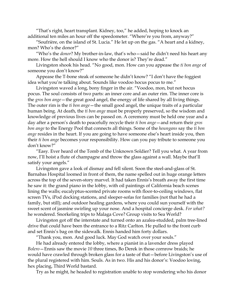"That's right, heart transplant. Kidney, too," he added, hoping to knock an additional ten miles an hour off the speedometer. "Where're you from, anyway?"

"Soufrière, on the island of St. Lucia." He let up on the gas. "A heart and a kidney, mon? Who's the donor?"

"Who's the *donor*? My brother-in-law, that's who—said he didn't need his heart any more. How the hell should I know who the donor is? They're dead."

Livingston shook his head. "No good, mon. How can you appease the *ti bon ange* of someone you don't know?"

Appease the T-bone steak of someone he didn't know? "I don't have the foggiest idea what you're talking about. Sounds like voodoo hocus pocus to me."

Livingston waved a long, bony finger in the air. "Voodoo, mon, but not hocus pocus. The soul consists of two parts: an inner core and an outer rim. The inner core is the *gros bon ange*—the great good angel, the energy of life shared by all living things. The outer rim is the *ti bon ange*—the small good angel, the unique traits of a particular human being. At death, the *ti bon ange* must be properly preserved, so the wisdom and knowledge of previous lives can be passed on. A ceremony must be held one year and a day after a person's death to peacefully recycle their *ti bon ange*—and return their *gros bon ange* to the Energy Pool that connects all things. Some of the *houngans* say the *ti bon ange* resides in the heart. If you are going to have someone else's heart inside you, then their *ti bon ange* becomes your responsibility. How can you pay tribute to someone you don't know?"

"Easy. Ever heard of the Tomb of the Unknown Soldier? Tell you what. A year from now, I'll hoist a flute of champagne and throw the glass against a wall. Maybe that'll satisfy your angels."

Livingston gave a look of dismay and fell silent. Soon the steel-and-glass of St. Barnabas Hospital loomed in front of them, the name spelled out in huge orange letters across the top of the seven-story marvel. It had taken Ennis's breath away the first time he saw it: the grand piano in the lobby, with oil paintings of California beach scenes lining the walls; eucalyptus-scented private rooms with floor-to-ceiling windows, flat screen TVs, iPod docking stations, and sleeper-sofas for families (not that he had a family, but still); and outdoor healing gardens, where you could sun yourself with the sweet scent of jasmine swirling up your nose. And a hospital concierge desk. *For what?* he wondered. Snorkeling trips to Malaga Cove? Group visits to Sea World?

Livingston got off the interstate and turned onto an azalea-studded, palm tree-lined drive that could have been the entrance to a Ritz Carlton. He pulled to the front curb and set Ennis's bag on the sidewalk. Ennis handed him forty dollars.

"Thank you, mon. And good luck. May God watch over your souls."

He had already entered the lobby, where a pianist in a lavender dress played *Bolero*—Ennis saw the movie *10* three times, Bo Derek in those cornrow braids; he would have crawled through broken glass for a taste of that—before Livingston's use of the plural registered with him. Souls. As in two. His and his donor's: Voodoo loving, hex placing, Third World bastard.

Try as he might, he headed to registration unable to stop wondering who his donor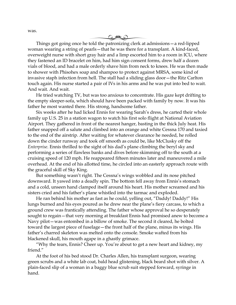was.

Things got going once he told the patronizing clerk at admissions—a red-lipped woman wearing a string of pearls—that he was there for a transplant. A kind-faced, overweight nurse with short gray hair and a limp escorted him to a room in ICU, where they fastened an ID bracelet on him, had him sign consent forms, drew half a dozen vials of blood, and had a male orderly shave him from neck to knees. He was then made to shower with Phisohex soap and shampoo to protect against MRSA, some kind of invasive staph infection from hell. The stall had a sliding glass door—the Ritz Carlton touch again. His nurse started a pair of IVs in his arms and he was put into bed to wait. And wait. And wait.

 $\odot$  sike  $\odot$ 

He tried watching TV, but was too anxious to concentrate. His gaze kept drifting to the empty sleeper-sofa, which should have been packed with family by now. It was his father he most wanted there. His strong, handsome father.

Six weeks after he had licked Ennis for wearing Sarah's dress, he carted their whole family up U.S. 25 in a station wagon to watch his first solo flight at National Aviation Airport. They gathered in front of the nearest hanger, basting in the thick July heat. His father snapped off a salute and climbed into an orange and white Cessna 170 and taxied to the end of the airstrip. After waiting for whatever clearance he needed, he rolled down the cinder runway and took off smooth as could be, like McClusky off the *Enterprise*. Ennis thrilled to the sight of his dad's plane climbing the beryl sky and performing a series of flawless banks and dives before skimming off to the south at a cruising speed of 120 mph. He reappeared fifteen minutes later and maneuvered a mile overhead. At the end of his allotted time, he circled into an easterly approach route with the graceful skill of Sky King.

But something wasn't right. The Cessna's wings wobbled and its nose pitched downward. It yawed into a deadly spin. The bottom fell away from Ennis's stomach and a cold, unseen hand clamped itself around his heart. His mother screamed and his sisters cried and his father's plane whistled into the tarmac and exploded.

He ran behind his mother as fast as he could, yelling out, "Daddy! Daddy!" His lungs burned and his eyes poured as he drew near the plane's fiery carcass, to which a ground crew was frantically attending. The father whose approval he so desperately sought to regain—that very morning at breakfast Ennis had promised anew to become a Navy pilot—was entombed in a billow of smoke. The second it cleared, he bolted toward the largest piece of fuselage—the front half of the plane, minus its wings. His father's charred skeleton was melted onto the console. Smoke wafted from his blackened skull, his mouth agape in a ghastly grimace.

"Why the tears, Ennis? Cheer up. You're about to get a new heart and kidney, my friend."

At the foot of his bed stood Dr. Charles Allen, his transplant surgeon, wearing green scrubs and a white lab coat, bald head glistening, black beard shot with silver. A plain-faced slip of a woman in a baggy blue scrub suit stepped forward, syringe in hand.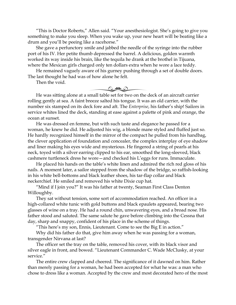"This is Doctor Roberts," Allen said. "Your anesthesiologist. She's going to give you something to make you sleep. When you wake up, your new heart will be beating like a drum and you'll be peeing like a racehorse."

She gave a perfunctory smile and jabbed the needle of the syringe into the rubber port of his IV. Her petite thumb depressed the barrel. A delicious, golden warmth worked its way inside his brain, like the tequila he drank at the brothel in Tijuana, where the Mexican girls charged only ten dollars extra when he wore a lace teddy.

He remained vaguely aware of his gurney pushing through a set of double doors. The last thought he had was of how alone he felt.

Then the void.

## $O$   $M$

He was sitting alone at a small table set for two on the deck of an aircraft carrier rolling gently at sea. A faint breeze salted his tongue. It was an old carrier, with the number six stamped on its deck fore and aft. The *Enterprise*, his father's ship! Sailors in service whites lined the deck, standing at ease against a palette of pink and orange, the ocean at sunset.

He was dressed en femme, but with such taste and elegance he passed for a woman, he knew he did. He adjusted his wig, a blonde mane styled and fluffed just so. He hardly recognized himself in the mirror of the compact he pulled from his handbag, the clever application of foundation and concealer, the complex interplay of eye shadow and liner making his eyes wide and mysterious. He fingered a string of pearls at his neck, toyed with a silver earring clipped to his ear, smoothed the long-sleeved, black cashmere turtleneck dress he wore—and checked his L'eggs for runs. Immaculate.

He placed his hands on the table's white linen and admired the rich red gloss of his nails. A moment later, a sailor stepped from the shadow of the bridge, so raffish-looking in his white bell-bottoms and black leather shoes, his tar-flap collar and black neckerchief. He smiled and removed his white Dixie cup hat.

"Mind if I join you?" It was his father at twenty, Seaman First Class Denton Willoughby.

They sat without tension, some sort of accommodation reached. An officer in a high-collared white tunic with gold buttons and black epaulets appeared, bearing two glasses of wine on a tray. He had a round chin, unwavering eyes, and a broad nose. His father stood and saluted. The same salute he gave before climbing into the Cessna that day, sharp and snappy, confident of his place in the scheme of things.

"This here's my son, Ennis, Lieutenant. Come to see the Big E in action."

Why did his father do that, give him away when he was passing for a woman, transgender Nirvana at last?

The officer set the tray on the table, removed his cover, with its black visor and silver eagle in front, and bowed. "Lieutenant Commander C. Wade McClusky, at your service."

The entire crew clapped and cheered. The significance of it dawned on him. Rather than merely passing for a woman, he had been accepted for what he was: a man who chose to dress like a woman. Accepted by the crew and most decorated hero of the most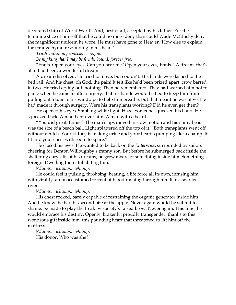decorated ship of World War II. And, best of all, accepted by his father. For the feminine slice of himself that he could no more deny than could Wade McClusky deny the magnificent uniform he wore. He must have gone to Heaven. How else to explain the strange hymn resounding in his head?

*Truth within my conscience reigns* 

*Be my king that I may be firmly bound, forever free*.

"Ennis. Open your eyes. Can you hear me? Open your eyes, Ennis." A dream, that's all it had been, a wonderful dream.

A dream dissolved. He tried to move, but couldn't. His hands were lashed to the bed rail. And his chest, oh God, the pain! It felt like he'd been prized apart, crow barred in two. He tried crying out: nothing. Then he remembered. They had warned him not to panic when he came to after surgery, that his hands would be tied to keep him from pulling out a tube in his windpipe to help him breathe. But that meant he was alive! He had made it through surgery. Were his transplants working? Did he even get them?

He opened his eyes. Stabbing white light. Haze. Someone squeezed his hand. He squeezed back. A man bent over him. A man with a beard.

"You did great, Ennis." The man's lips moved in slow motion and his shiny head was the size of a beach ball. Light splattered off the top of it. "Both transplants went off without a hitch. Your kidney is making urine and your heart's pumping like a champ. It fit into your chest with room to spare."

He closed his eyes. He wanted to be back on the *Enterprise*, surrounded by sailors cheering for Denton Willoughby's tranny son. But before he submerged back inside the sheltering chrysalis of his dreams, he grew aware of something inside him. Something foreign. Dwelling there. Inhabiting him.

#### *Whump*... *whump*... *whump*.

He could feel it pulsing, throbbing, beating, a life force all its own, infusing him with vitality, an unaccustomed torrent of blood rushing through him like a swollen river.

#### *Whump*... *whump*... *whump*.

His chest rocked, barely capable of restraining the organic generator inside him. And he knew: he had his second bite at the apple. Never again would he submit to shame, be made to play the freak by society's raised brow. Never again. This time, he would embrace his destiny. Openly, brazenly, proudly transgender, thanks to this wondrous gift inside him, this pounding heart that threatened to lift him off the mattress.

*Whump*... *whump*... *whump*. His donor. Who was she?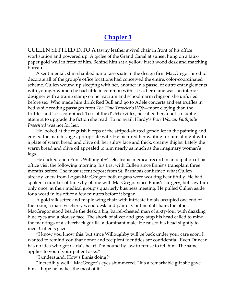# **Chapter 3**

CULLEN SETTLED INTO A tawny leather swivel chair in front of his office workstation and powered up. A giclée of the Grand Canal at sunset hung on a fauxpaper gold wall in front of him. Behind him sat a yellow birch wood desk and matching bureau.

A sentimental, slim-shanked junior associate in the design firm MacGregor hired to decorate all of the group's office locations had conceived the entire, color-coordinated scheme. Cullen wound up sleeping with her, another in a passel of outré entanglements with younger women he had little in common with. Tess, her name was: an interior designer with a tramp stamp on her sacrum and schoolmarm chignon she unfurled before sex. Who made him drink Red Bull and go to Adele concerts and eat truffles in bed while reading passages from *The Time Traveler's Wife*—more cloying than the truffles and Tess combined. Tess of the d'Urbervilles*,* he called her, a not-so-subtle attempt to upgrade the fiction she read. To no avail; Hardy's *Pure Woman Faithfully Presented* was not for her.

He looked at the roguish biceps of the striped-shirted gondolier in the painting and envied the man his age-appropriate wife. He pictured her waiting for him at night with a plate of warm bread and olive oil, her sultry face and thick, creamy thighs. Lately the warm bread and olive oil appealed to him nearly as much as the imaginary woman's legs.

He clicked open Ennis Willoughby's electronic medical record in anticipation of his office visit the following morning, his first with Cullen since Ennis's transplant three months before. The most recent report from St. Barnabas confirmed what Cullen already knew from Logan MacGregor: both organs were working beautifully. He had spoken a number of times by phone with MacGregor since Ennis's surgery, but saw him only once, at their medical group's quarterly business meeting. He pulled Cullen aside for a word in his office a few minutes before it began.

A gold silk settee and maple wing chair with intricate finials occupied one end of the room, a massive cherry wood desk and pair of Continental chairs the other. MacGregor stood beside the desk, a big, barrel-chested man of sixty-four with dazzling blue eyes and a blowsy face. The shock of silver and gray atop his head called to mind the markings of a silverback gorilla, a dominant male. He raised his head slightly to meet Cullen's gaze.

"I know you know this, but since Willoughby will be back under your care soon, I wanted to remind you that donor and recipient identities are confidential. Even Duncan has no idea who got Carla's heart. I'm bound by law to refuse to tell him. The same applies to you if your patient asks."

"I understand. How's Ennis doing?"

"Incredibly well." MacGregor's eyes shimmered. "It's a remarkable gift she gave him. I hope he makes the most of it."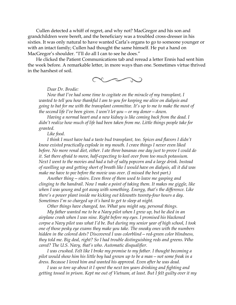Cullen detected a whiff of regret, and why not? MacGregor and his son and grandchildren were bereft, and the beneficiary was a troubled cross-dresser in his sixties. It was only natural to have wanted Carla's organs to go to someone younger or with an intact family; Cullen had thought the same himself. He put a hand on MacGregor's shoulder. "I'll do all I can to see he does."

He clicked the Patient Communications tab and reread a letter Ennis had sent him the week before. A remarkable letter, in more ways than one. Sometimes virtue thrived in the harshest of soil.



*Dear Dr. Brodie:* 

*Now that I've had some time to cogitate on the miracle of my transplant, I wanted to tell you how thankful I am to you for keeping me alive on dialysis and going to bat for me with the transplant committee. It's up to me to make the most of the second life I've been given. I won't let you—or my donor—down.* 

*Having a normal heart and a new kidney is like coming back from the dead. I didn't realize how much of life had been taken from me. Little things people take for granted.* 

*Like food.* 

*I think I must have had a taste bud transplant, too. Spices and flavors I didn't know existed practically explode in my mouth. I crave things I never even liked before. No more renal diet, either. I ate three bananas one day just to prove I could do it. Sat there afraid to move, half-expecting to keel over from too much potassium. Next I went to the movies and had a tub of salty popcorn and a large drink. Instead of swelling up and getting short of breath like I would have on dialysis, all it did was make me have to pee before the movie was over. (I missed the best part.)* 

*Another thing—stairs. Even three of them used to leave me gasping and clinging to the handrail. Now I make a point of taking them. It makes me giggle, like when I was young and got away with something. Energy, that's the difference. Like there's a power plant inside me kicking out kilowatts twenty-four hours a day. Sometimes I'm so charged up it's hard to get to sleep at night.* 

*Other things have changed, too. What you might say, personal things.* 

*My father wanted me to be a Navy pilot when I grew up, but he died in an airplane crash when I was nine. Right before my eyes. I promised his blackened corpse a Navy pilot was what I'd be. But during my senior year of high school, I took one of those pesky eye exams they make you take. The sneaky ones with the numbers hidden in the colored dots? Discovered I was colorblind—red-green color blindness, they told me. Big deal, right? So I had trouble distinguishing reds and greens. Who cared? The U.S. Navy, that's who. Automatic disqualifier.* 

*I was crushed. Felt like I broke my promise to my father. I thought becoming a pilot would show him his little boy had grown up to be a man—not some freak in a dress. Because I loved him and wanted his approval. Even after he was dead.* 

*I was so tore up about it I spent the next ten years drinking and fighting and getting tossed in prison. Kept me out of Vietnam, at least. But I felt guilty over it my*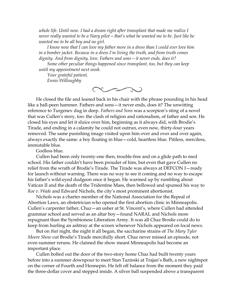*whole life. Until now. I had a dream right after transplant that made me realize I never really wanted to be a Navy pilot—that's what he wanted me to be. Just like he wanted me to be all boy and no girl.* 

*I know now that I can love my father more in a dress than I could ever love him in a bomber jacket. Because in a dress I'm living the truth, and from truth comes dignity. And from dignity, love. Fathers and sons—it never ends, does it?* 

*Some other peculiar things happened since transplant, too, but they can keep until my appointment next week.* 

*Your grateful patient, Ennis Willoughby* 



He closed the file and leaned back in his chair with the phrase pounding in his head like a ball-peen hammer. Fathers and sons—it never ends, does it? The unwitting reference to Turgenev dug in deep. *Fathers and Sons* was a scorpion's sting of a novel that was Cullen's story, too: the clash of religion and rationalism, of father and son. He closed his eyes and let it sluice over him, beginning as it always did, with Brodie's Tirade, and ending in a calamity he could not outrun, even now, thirty-four years removed. The same punishing image visited upon him over and over and over again, always exactly the same: a boy floating in blue—cold, heartless blue. Pitiless, merciless, immutable blue.

Godless blue.

Cullen had been only twenty-one then, trouble-free and on a glide path to med school. His father couldn't have been prouder of him, but even that gave Cullen no relief from the wrath of Brodie's Tirade. The Tirade was always at DEFCON I—ready for launch without warning. There was no way to see it coming and no way to escape his father's wild-eyed dudgeon once it began. He warmed up by rumbling about Vatican II and the death of the Tridentine Mass, then bellowed and spumed his way to *Roe v. Wade* and Edward Nichols, the city's most prominent abortionist.

Nichols was a charter member of the National Association for the Repeal of Abortion Laws, an obstetrician who opened the first abortion clinic in Minneapolis. Cullen's carpenter father, Chaz—an usher at St. Vincent's, where Cullen had attended grammar school and served as an altar boy—found NARAL and Nichols more repugnant than the Symbionese Liberation Army. It was all Chaz Brodie could do to keep from hurling an ashtray at the screen whenever Nichols appeared on local news.

But on *that* night, the night it all began, the saccharine strains of *The Mary Tyler Moore Show* cut Brodie's Tirade mercifully short. Chaz never missed an episode, not even summer reruns. He claimed the show meant Minneapolis had become an important place.

Cullen bolted out the door of the two-story home Chaz had built twenty years before into a summer downpour to meet Stan Tazinski at Trajan's Bath, a new nightspot on the corner of Fourth and Hennepin. He felt off balance from the moment they paid the three-dollar cover and stepped inside. A silver ball suspended above a transparent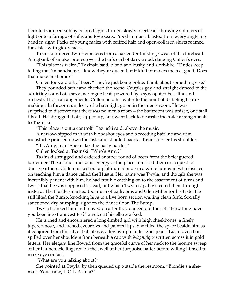floor lit from beneath by colored lights turned slowly overhead, throwing splinters of light onto a farrago of sofas and love seats. Piped in music blasted from every angle, no band in sight. Packs of young males with coiffed hair and open-collared shirts roamed the aisles with giddy faces.

Tazinski ordered two Heinekens from a bartender trickling sweat off his forehead. A fogbank of smoke loitered over the bar's curl of dark wood, stinging Cullen's eyes.

"This place is weird," Tazinski said, blond and bushy and sloth-like. "Dudes keep telling me I'm handsome. I know they're queer, but it kind of makes me feel good. Does that make me homo?"

Cullen took a draft of beer. "They're just being polite. Think about something else."

They pounded brew and checked the scene. Couples gay and straight danced to the addicting sound of a sexy merengue beat, powered by a syncopated bass line and orchestral horn arrangements. Cullen held his water to the point of dribbling before making a bathroom run, leery of what might go on in the men's room. He was surprised to discover that there *was* no men's room—the bathroom was unisex, one stall fits all. He shrugged it off, zipped up, and went back to describe the toilet arrangements to Tazinski.

"This place is outta control!" Tazinski said, above the music.

A narrow-hipped man with bloodshot eyes and a receding hairline and trim moustache pranced down the aisle and shouted back at Tazinski over his shoulder.

"It's Amy, man! She makes the party harder."

Cullen looked at Tazinski. "Who's Amy?"

Tazinski shrugged and ordered another round of beers from the beleaguered bartender. The alcohol and sonic energy of the place launched them on a quest for dance partners. Cullen picked out a platinum blonde in a white jumpsuit who insisted on teaching him a dance called the Hustle. Her name was Twyla, and though she was incredibly patient with him, he had trouble catching on to the assortment of turns and twirls that he was supposed to lead, but which Twyla capably steered them through instead. The Hustle smacked too much of ballrooms and Glen Miller for his taste. He still liked the Bump, knocking hips to a live horn section wailing clean funk. Socially sanctioned dry humping, right on the dance floor. The Bump.

Twyla thanked him and moved on after they danced out the set. "How long have you been into transvestites?" a voice at his elbow asked.

He turned and encountered a long-limbed girl with high cheekbones, a finely tapered nose, and arched eyebrows and painted lips. She filled the space beside him as if conjured from the silver ball above, a fey nymph in designer jeans. Lush raven hair spilled over her shoulders from beneath a cap with *Magnifique* written across it in gold letters. Her elegant line flowed from the graceful curve of her neck to the leonine sweep of her haunch. He lingered on the swell of her turquoise halter before willing himself to make eye contact.

"What are you talking about?"

She pointed at Twyla, by then queued up outside the restroom. "Blondie's a shemale. You know, L-O-L-A Lola?"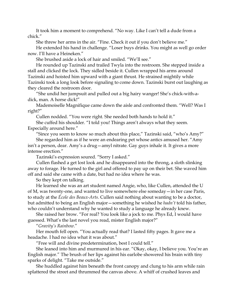It took him a moment to comprehend. "No way. Like I can't tell a dude from a chick."

She threw her arms in the air. "Fine. Check it out if you don't believe me."

He extended his hand in challenge. "Loser buys drinks. You might as well go order now. I'll have a Heineken."

She brushed aside a lock of hair and smiled. "We'll see."

He rounded up Tazinski and trailed Twyla into the restroom. She stepped inside a stall and clicked the lock. They sidled beside it. Cullen wrapped his arms around Tazinski and hoisted him upward with a giant thrust. He strained mightily while Tazinski took a long look before signaling to come down. Tazinski burst out laughing as they cleared the restroom door.

"She undid her jumpsuit and pulled out a big hairy wanger! She's chick-with-adick, man. A horse dick!"

Mademoiselle Magnifique came down the aisle and confronted them. "Well? Was I right?"

Cullen nodded. "You were right. She needed both hands to hold it."

She cuffed his shoulder. "I told you! Things aren't always what they seem. Especially around here."

"Since you seem to know so much about this place," Tazinski said, "who's Amy?"

She regarded him as if he were an endearing pet whose antics amused her. "Amy isn't a person, dear. Amy's a drug—amyl nitrate. Gay guys inhale it. It gives a more intense erection."

Tazinski's expression soured. "Sorry I asked."

Cullen flashed a get lost look and he disappeared into the throng, a sloth slinking away to forage. He turned to the girl and offered to pay up on their bet. She waved him off and said she came with a date, but had no idea where he was.

So they kept on talking.

He learned she was an art student named Angie, who, like Cullen, attended the U of M, was twenty-one, and wanted to live somewhere else someday—in her case Paris, to study at the *École des Beaux-Arts.* Cullen said nothing about wanting to be a doctor, but admitted to being an English major—something he wished he *hadn't* told his father, who couldn't understand why he wanted to study a language he already knew.

She raised her brow. "For real? You look like a jock to me. Phys Ed, I would have guessed. What's the last novel you read, mister English major?"

"*Gravity's Rainbow*."

Her mouth fell open. "You actually read that? I lasted fifty pages. It gave me a headache. I had no idea what it was about."

"Free will and divine predetermination, best I could tell."

She leaned into him and murmured in his ear. "Okay, okay, I believe you. You're an English major." The brush of her lips against his earlobe showered his brain with tiny sparks of delight. "Take me outside."

She huddled against him beneath the front canopy and clung to his arm while rain splattered the street and thrummed the canvas above. A whiff of crushed leaves and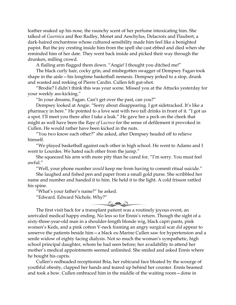leather snaked up his nose, the raunchy scent of her perfume intoxicating him. She talked of *Guernica* and Boo Radley, Monet and Aeschylus, Delacroix and Flaubert, a dark-haired enchantress whose cultured sensibility made him feel like a benighted papist. But the joy cresting inside him from the spell she cast ebbed and died when she reminded him of her date. They went back inside and picked their way through the drunken, milling crowd.

A flailing arm flagged them down. "Angie! I thought you ditched me!"

The black curly hair, cocky grin, and misbegotten swagger of Dempsey Fagan took shape in the aisle—his longtime basketball nemesis. Dempsey jerked to a stop, drunk and wasted and reeking of Pierre Cardin. Cullen felt gut-shot.

"Brodie? I didn't think this was your scene. Missed you at the Attucks yesterday for your weekly ass-kicking."

"In your dreams, Fagan. Can't get over the past, can you?"

Dempsey looked at Angie. "Sorry about disappearing. I got sidetracked. It's like a pharmacy in here." He pointed to a love seat with two tall drinks in front of it. "I got us a spot. I'll meet you there after I take a leak." He gave her a peck on the cheek that might as well have been the *Rape of Lucrece* for the sense of defilement it provoked in Cullen. He would rather have been kicked in the nuts.

"You two know each other?" she asked, after Dempsey headed off to relieve himself.

"We played basketball against each other in high school. He went to Adams and I went to Lourdes. We hated each other from the jump."

She squeezed his arm with more pity than he cared for. "I'm sorry. You must feel awful."

"Well, your phone number *would* keep me from having to commit ritual suicide*.*"

She laughed and fished pen and paper from a small gold purse. She scribbled her name and number and handed it to him. He held it to the light. A cold frisson rattled his spine.

"What's your father's name?" he asked.

"Edward. Edward Nichols. Why?"

$$
\mathcal{O}^{\text{Mk}} \mathcal{O}
$$

The first visit back for a transplant patient was a routinely joyous event, an unrivaled medical happy ending. No less so for Ennis's return. Though the sight of a sixty-three-year-old man in a shoulder-length blonde wig, black capri pants, pink women's Keds, and a pink cotton V-neck framing an angry surgical scar *did* appear to unnerve the patients beside him—a black ex-Marine Cullen saw for hypertension and a senile widow of eighty facing dialysis. Not so much the woman's sympathetic, high school principal daughter, whom he had seen before; her availability to attend her mother's medical appointments seemed unlimited. She smiled and asked Ennis where he bought his capris.

Cullen's redheaded receptionist Bria, her rubicund face bloated by the scourge of youthful obesity, clapped her hands and teared up behind her counter. Ennis beamed and took a bow. Cullen embraced him in the middle of the waiting room—done in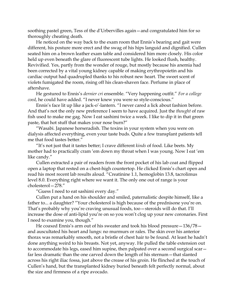soothing pastel green, Tess of the d'Urbervilles again—and congratulated him for so thoroughly cheating death.

He noticed on the way back to the exam room that Ennis's bearing and gait were different, his posture more erect and the swag of his hips languid and dignified. Cullen seated him on a brown leather exam table and considered him more closely. His color held up even beneath the glare of fluorescent tube lights. He looked flush, healthy. Revivified. Yes, partly from the wonder of rouge, but mostly because his anemia had been corrected by a vital young kidney capable of making erythropoietin and his cardiac output had quadrupled thanks to his robust new heart. The sweet scent of violets fumigated the room, rising off his clean-shaven face. Perfume in place of aftershave.

He gestured to Ennis's *dernier cri* ensemble. "Very happening outfit." *For a college coed*, he could have added. "I never knew you were so style-conscious."

Ennis's face lit up like a jack-o'-lantern. "I never cared a lick about fashion before. And that's not the only new preference I seem to have acquired. Just the *thought* of raw fish used to make me gag. Now I eat sashimi twice a week. I like to dip it in that green paste, that hot stuff that makes your nose burn?"

"Wasabi. Japanese horseradish. The toxins in your system when you were on dialysis affected everything, even your taste buds. Quite a few transplant patients tell me that food tastes better."

"It's not just that it tastes better; I crave different *kinds* of food. Like beets. My mother had to practically cram 'em down my throat when I was young. Now I eat 'em like candy."

Cullen extracted a pair of readers from the front pocket of his lab coat and flipped open a laptop that rested on a chest-high countertop. He clicked Ennis's chart open and read his most recent lab results aloud. "Creatinine 1.1, hemoglobin 13.8, tacrolimus level 8.0. Everything right where we want it. The only one out of range is your cholesterol—278."

"Guess I need to eat sashimi every day."

Cullen put a hand on his shoulder and smiled, paternalistic despite himself, like a father to... a daughter? "Your cholesterol is high because of the prednisone you're on. That's probably why you're craving unusual foods, too—steroids will do that. I'll increase the dose of anti-lipid you're on so you won't clog up your new coronaries. First I need to examine you, though."

He coaxed Ennis's arm out of his sweater and took his blood pressure—136/78 and auscultated his heart and lungs: no murmurs or rales. The skin over his anterior thorax was remarkably smooth, not a bristle of chest hair to be found. At least he hadn't done anything weird to his breasts. Not yet, anyway. He pulled the table extension out to accommodate his legs, eased him supine, then palpated over a second surgical scar far less dramatic than the one carved down the length of his sternum—that slanted across his right iliac fossa, just above the crease of his groin. He flinched at the touch of Cullen's hand, but the transplanted kidney buried beneath felt perfectly normal, about the size and firmness of a ripe avocado.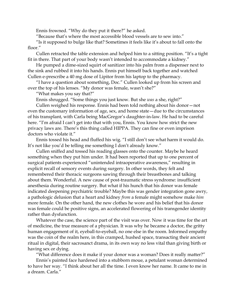Ennis frowned. "Why do they put it there?" he asked.

"Because that's where the most accessible blood vessels are to sew into."

"Is it supposed to bulge like that? Sometimes it feels like it's about to fall onto the floor."

Cullen retracted the table extension and helped him to a sitting position. "It's a tight fit in there. That part of your body wasn't intended to accommodate a kidney."

He pumped a dime-sized squirt of sanitizer into his palm from a dispenser next to the sink and rubbed it into his hands. Ennis put himself back together and watched Cullen e-prescribe a 40 mg dose of Lipitor from his laptop to the pharmacy.

"I have a question about something, Doc." Cullen looked up from his screen and over the top of his lenses. "My donor was female, wasn't she?"

"What makes you say that?"

Ennis shrugged. "Some things you just know. But she *was* a she, right?"

Cullen weighed his response. Ennis had been told nothing about his donor—not even the customary information of age, sex, and home state—due to the circumstances of his transplant, with Carla being MacGregor's daughter-in-law. He had to be careful here. "I'm afraid I can't get into that with you, Ennis. You know how strict the new privacy laws are. There's this thing called HIPPA. They can fine or even imprison doctors who violate it."

Ennis tossed his head and fluffed his wig. "I still don't see what harm it would do. It's not like you'd be telling me something I don't already know."

Cullen sniffed and tossed his reading glasses onto the counter. Maybe he heard something when they put him under. It had been reported that up to one percent of surgical patients experienced "unintended intraoperative awareness," resulting in explicit recall of sensory events during surgery. In other words, they felt and remembered their thoracic surgeons sawing through their breastbones and talking about them. Wonderful. A new cause of post-traumatic stress syndrome: insufficient anesthesia during routine surgery. But what if his hunch that his donor was female indicated deepening psychiatric trouble? Maybe this was gender integration gone awry, a pathologic delusion that a heart and kidney *from* a female might somehow make *him* more female. On the other hand, the new clothes he wore and his belief that his donor was female could be positive signs, an accelerated flowering of his transgender identity rather than dysfunction.

Whatever the case, the science part of the visit was over. Now it was time for the art of medicine, the true measure of a physician. It was why he became a doctor, the gritty human engagement of it, eyeball-to-eyeball, no one else in the room. Informed empathy was the coin of the realm here, in this cramped, hushed space, transacting their ancient ritual in digital, their sacrosanct drama, in its own way no less vital than giving birth or having sex or dying.

"What difference does it make if your donor was a woman? Does it really matter?"

Ennis's painted face hardened into a stubborn moue, a petulant woman determined to have her way. "I think about her all the time. I even know her name. It came to me in a dream. Carla."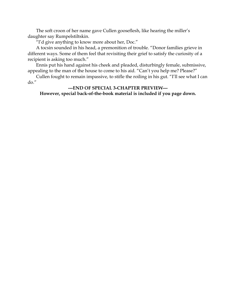The soft croon of her name gave Cullen gooseflesh, like hearing the miller's daughter say Rumpelstiltskin.

"I'd give anything to know more about her, Doc."

A tocsin sounded in his head, a premonition of trouble. "Donor families grieve in different ways. Some of them feel that revisiting their grief to satisfy the curiosity of a recipient is asking too much."

Ennis put his hand against his cheek and pleaded, disturbingly female, submissive, appealing to the man of the house to come to his aid. "Can't you help me? Please?"

Cullen fought to remain impassive, to stifle the roiling in his gut. "I'll see what I can do."

### **---END OF SPECIAL 3-CHAPTER PREVIEW---**

**However, special back-of-the-book material is included if you page down.**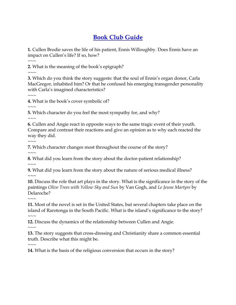# **Book Club Guide**

**1.** Cullen Brodie saves the life of his patient, Ennis Willoughby. Does Ennis have an impact on Cullen's life? If so, how?

 $\sim\sim\sim$ **2.** What is the meaning of the book's epigraph?

 $\sim\sim\sim$ 

**3.** Which do you think the story suggests: that the soul of Ennis's organ donor, Carla MacGregor, inhabited him? Or that he confused his emerging transgender personality with Carla's imagined characteristics?

 $\sim\sim\sim$ 

 $\sim\sim\sim$ 

**4.** What is the book's cover symbolic of?

**5.** Which character do you feel the most sympathy for, and why?  $\sim\sim\sim$ 

**6.** Cullen and Angie react in opposite ways to the same tragic event of their youth. Compare and contrast their reactions and give an opinion as to why each reacted the way they did.

 $\sim\sim\sim$ 

**7.** Which character changes most throughout the course of the story?

 $\sim\sim\sim$ 

**8.** What did you learn from the story about the doctor-patient relationship?  $\sim\sim\sim$ 

**9.** What did you learn from the story about the nature of serious medical illness?  $\sim\sim\sim$ 

**10.** Discuss the role that art plays in the story. What is the significance in the story of the paintings *Olive Trees with Yellow Sky and Sun* by Van Gogh, and *Le Jeune Martyre* by Delaroche?

 $\sim$ ~~

**11.** Most of the novel is set in the United States, but several chapters take place on the island of Rarotonga in the South Pacific. What is the island's significance to the story?  $\sim\sim\sim$ 

**12.** Discuss the dynamics of the relationship between Cullen and Angie.  $\sim\sim\sim$ 

**13.** The story suggests that cross-dressing and Christianity share a common essential truth. Describe what this might be.

 $\sim\sim\sim$ 

**14.** What is the basis of the religious conversion that occurs in the story?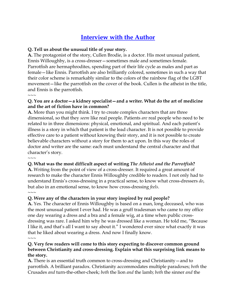# **Interview with the Author**

## **Q. Tell us about the unusual title of your story.**

**A.** The protagonist of the story, Cullen Brodie, is a doctor. His most unusual patient, Ennis Willoughby, is a cross-dresser—sometimes male and sometimes female. Parrotfish are hermaphrodites, spending part of their life cycle as males and part as female—like Ennis. Parrotfish are also brilliantly colored, sometimes in such a way that their color scheme is remarkably similar to the colors of the rainbow flag of the LGBT movement—like the parrotfish on the cover of the book. Cullen is the atheist in the title, and Ennis is the parrotfish.

 $\sim\sim\sim$ 

 $\sim\sim\sim$ 

## **Q. You are a doctor—a kidney specialist—and a writer. What do the art of medicine and the art of fiction have in common?**

**A.** More than you might think. I try to create complex characters that are three dimensional, so that they *seem* like real people. Patients *are* real people who need to be related to in three dimensions: physical, emotional, and spiritual. And each patient's illness is a story in which that patient is the lead character. It is not possible to provide effective care to a patient without knowing their story, and it is not possible to create believable characters without a story for them to act upon. In this way the roles of doctor and writer are the same: each must understand the central character and that character's story.

## **Q. What was the most difficult aspect of writing** *The Atheist and the Parrotfish***?**

**A.** Writing from the point of view of a cross-dresser. It required a great amount of research to make the character Ennis Willoughby credible to readers. I not only had to understand Ennis's cross-dressing in a practical sense, to know what cross-dressers *do*, but also in an emotional sense, to know how cross-dressing *feels*.  $\sim\sim\sim$ 

## **Q. Were any of the characters in your story inspired by real people?**

**A.** Yes. The character of Ennis Willoughby is based on a man, long deceased, who was the most unusual patient I ever had. He was a gruff tradesman who came to my office one day wearing a dress and a bra and a female wig, at a time when public crossdressing was rare. I asked him why he was dressed like a woman. He told me, "Because I like it, and that's all I want to say about it." I wondered ever since what exactly it was that he liked about wearing a dress. And now I finally know.  $\sim\sim\sim$ 

## **Q. Very few readers will come to this story expecting to discover common ground between Christianity and cross-dressing. Explain what this surprising link means to the story.**

**A.** There is an essential truth common to cross-dressing and Christianity—and to parrotfish. A brilliant paradox. Christianity accommodates multiple paradoxes; *both* the Crusades *and* turn-the-other-cheek; *both* the lion *and* the lamb; *both* the sinner *and* the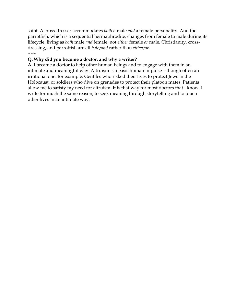saint. A cross-dresser accommodates *both* a male *and* a female personality. And the parrotfish, which is a sequential hermaphrodite, changes from female to male during its lifecycle, living as *both* male *and* female, not *either* female *or* male. Christianity, crossdressing, and parrotfish are all *both/and* rather than *either/or*.  $\sim$ ~~

## **Q. Why did you become a doctor, and why a writer?**

**A.** I became a doctor to help other human beings and to engage with them in an intimate and meaningful way. Altruism is a basic human impulse—though often an irrational one: for example, Gentiles who risked their lives to protect Jews in the Holocaust, or soldiers who dive on grenades to protect their platoon mates. Patients allow me to satisfy my need for altruism. It is that way for most doctors that I know. I write for much the same reason; to seek meaning through storytelling and to touch other lives in an intimate way.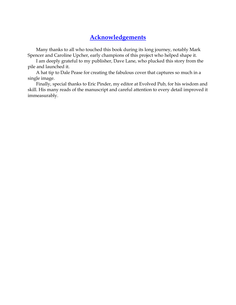# **Acknowledgements**

Many thanks to all who touched this book during its long journey, notably Mark Spencer and Caroline Upcher, early champions of this project who helped shape it.

I am deeply grateful to my publisher, Dave Lane, who plucked this story from the pile and launched it.

A hat tip to Dale Pease for creating the fabulous cover that captures so much in a single image.

Finally, special thanks to Eric Pinder, my editor at Evolved Pub, for his wisdom and skill. His many reads of the manuscript and careful attention to every detail improved it immeasurably.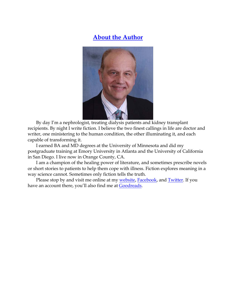# **About the Author**



By day I'm a nephrologist, treating dialysis patients and kidney transplant recipients. By night I write fiction. I believe the two finest callings in life are doctor and writer, one ministering to the human condition, the other illuminating it, and each capable of transforming it.

I earned BA and MD degrees at the University of Minnesota and did my postgraduate training at Emory University in Atlanta and the University of California in San Diego. I live now in Orange County, CA.

I am a champion of the healing power of literature, and sometimes prescribe novels or short stories to patients to help them cope with illness. Fiction explores meaning in a way science cannot. Sometimes only fiction tells the truth.

Please stop by and visit me online at my website, Facebook, and Twitter. If you have an account there, you'll also find me at Goodreads.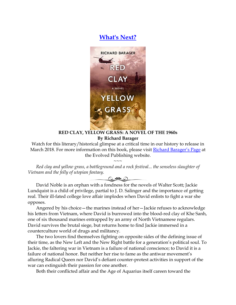**What's Next?**



**RED CLAY, YELLOW GRASS: A NOVEL OF THE 1960s By Richard Barager** 

Watch for this literary/historical glimpse at a critical time in our history to release in March 2018. For more information on this book, please visit Richard Barager's Page at the Evolved Publishing website.

 $\sim\sim\sim$ 

*Red clay and yellow grass, a battleground and a rock festival... the senseless slaughter of Vietnam and the folly of utopian fantasy.* 

 $\bigcirc$  and  $\bigcirc$ 

David Noble is an orphan with a fondness for the novels of Walter Scott; Jackie Lundquist is a child of privilege, partial to J. D. Salinger and the importance of getting real. Their ill-fated college love affair implodes when David enlists to fight a war she opposes.

Angered by his choice—the marines instead of her—Jackie refuses to acknowledge his letters from Vietnam, where David is burrowed into the blood-red clay of Khe Sanh, one of six thousand marines entrapped by an army of North Vietnamese regulars. David survives the brutal siege, but returns home to find Jackie immersed in a counterculture world of drugs and militancy.

The two lovers find themselves fighting on opposite sides of the defining issue of their time, as the New Left and the New Right battle for a generation's political soul. To Jackie, the faltering war in Vietnam is a failure of national conscience; to David it is a failure of national honor. But neither her rise to fame as the antiwar movement's alluring Radical Queen nor David's defiant counter-protest activities in support of the war can extinguish their passion for one another.

Both their conflicted affair and the Age of Aquarius itself careen toward the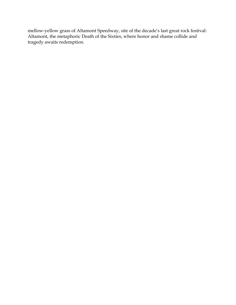mellow-yellow grass of Altamont Speedway, site of the decade's last great rock festival: Altamont, the metaphoric Death of the Sixties, where honor and shame collide and tragedy awaits redemption.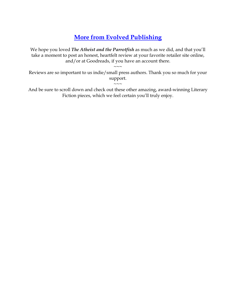# **More from Evolved Publishing**

We hope you loved *The Atheist and the Parrotfish* as much as we did, and that you'll take a moment to post an honest, heartfelt review at your favorite retailer site online, and/or at Goodreads, if you have an account there.

Reviews are so important to us indie/small press authors. Thank you so much for your support.

 $\sim\sim\sim$ 

 $\sim\sim\sim$ 

And be sure to scroll down and check out these other amazing, award-winning Literary Fiction pieces, which we feel certain you'll truly enjoy.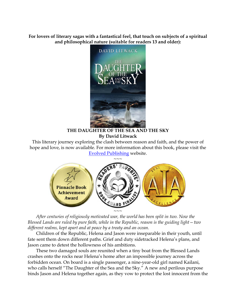**For lovers of literary sagas with a fantastical feel, that touch on subjects of a spiritual and philosophical nature (suitable for readers 13 and older):** 



**THE DAUGHTER OF THE SEA AND THE SKY By David Litwack** 

This literary journey exploring the clash between reason and faith, and the power of hope and love, is now available. For more information about this book, please visit the Evolved Publishing website.



*After centuries of religiously motivated war, the world has been split in two. Now the Blessed Lands are ruled by pure faith, while in the Republic, reason is the guiding light—two different realms, kept apart and at peace by a treaty and an ocean.* 

Children of the Republic, Helena and Jason were inseparable in their youth, until fate sent them down different paths. Grief and duty sidetracked Helena's plans, and Jason came to detest the hollowness of his ambitions.

These two damaged souls are reunited when a tiny boat from the Blessed Lands crashes onto the rocks near Helena's home after an impossible journey across the forbidden ocean. On board is a single passenger, a nine-year-old girl named Kailani, who calls herself "The Daughter of the Sea and the Sky." A new and perilous purpose binds Jason and Helena together again, as they vow to protect the lost innocent from the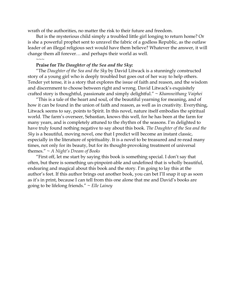wrath of the authorities, no matter the risk to their future and freedom.

But is the mysterious child simply a troubled little girl longing to return home? Or is she a powerful prophet sent to unravel the fabric of a godless Republic, as the outlaw leader of an illegal religious sect would have them believe? Whatever the answer, it will change them all forever… and perhaps their world as well.

#### **Praise for** *The Daughter of the Sea and the Sky***:**

 $\sim\sim$ 

"The *Daughter of the Sea and the Sky* by David Litwack is a stunningly constructed story of a young girl who is deeply troubled but goes out of her way to help others. Tender yet tense, it is a story that explores the issue of faith and reason, and the wisdom and discernment to choose between right and wrong. David Litwack's exquisitely crafted story is thoughtful, passionate and simply delightful." ~ *Khamneithang Vaiphei*

"This is a tale of the heart and soul, of the beautiful yearning for meaning, and of how it can be found in the union of faith and reason, as well as in creativity. Everything, Litwack seems to say, points to Spirit. In this novel, nature itself embodies the spiritual world. The farm's overseer, Sebastian, knows this well, for he has been at the farm for many years, and is completely attuned to the rhythm of the seasons. I'm delighted to have truly found nothing negative to say about this book. *The Daughter of the Sea and the Sky* is a beautiful, moving novel, one that I predict will become an instant classic, especially in the literature of spirituality. It is a novel to be treasured and re-read many times, not only for its beauty, but for its thought-provoking treatment of universal themes." ~ *A Night's Dream of Books*

"First off, let me start by saying this book is something special. I don't say that often, but there is something un-pinpoint-able and undefined that is wholly beautiful, endearing and magical about this book and the story. I'm going to lay this at the author's feet. If this author brings out another book, you can bet I'll snap it up as soon as it's in print, because I can tell from this one alone that me and David's books are going to be lifelong friends." ~ *Elle Lainey*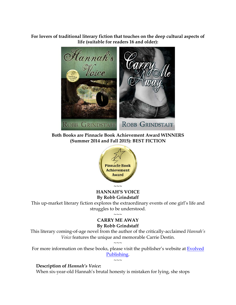**For lovers of traditional literary fiction that touches on the deep cultural aspects of life (suitable for readers 16 and older):** 



**Both Books are Pinnacle Book Achievement Award WINNERS (Summer 2014 and Fall 2015): BEST FICTION** 



## **HANNAH'S VOICE By Robb Grindstaff**

This up-market literary fiction explores the extraordinary events of one girl's life and struggles to be understood.

## $\sim\sim\sim$ **CARRY ME AWAY By Robb Grindstaff**

This literary coming-of-age novel from the author of the critically-acclaimed *Hannah's Voice* features the unique and memorable Carrie Destin.

 $\sim\sim\sim$ For more information on these books, please visit the publisher's website at Evolved Publishing.

 $\sim\sim\sim$ 

**Description of** *Hannah's Voice***:**  When six-year-old Hannah's brutal honesty is mistaken for lying, she stops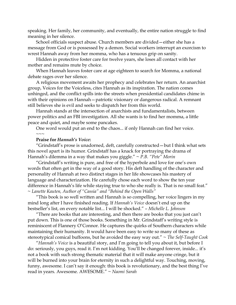speaking. Her family, her community, and eventually, the entire nation struggle to find meaning in her silence.

School officials suspect abuse. Church members are divided—either she has a message from God or is possessed by a demon. Social workers interrupt an exorcism to wrest Hannah away from her momma, who has a tenuous grip on sanity.

Hidden in protective foster care for twelve years, she loses all contact with her mother and remains mute by choice.

When Hannah leaves foster care at age eighteen to search for Momma, a national debate rages over her silence.

A religious movement awaits her prophecy and celebrates her return. An anarchist group, Voices for the Voiceless, cites Hannah as its inspiration. The nation comes unhinged, and the conflict spills into the streets when presidential candidates chime in with their opinions on Hannah – patriotic visionary or dangerous radical. A remnant still believes she is evil and seeks to dispatch her from this world.

Hannah stands at the intersection of anarchists and fundamentalists, between power politics and an FBI investigation. All she wants is to find her momma, a little peace and quiet, and maybe some pancakes.

One word would put an end to the chaos... if only Hannah can find her voice.  $\sim\sim\sim$ 

#### **Praise for** *Hannah's Voice***:**

"Grindstaff's prose is unadorned, deft, carefully constructed—but I think what sets this novel apart is its humor. Grindstaff has a knack for portraying the drama of Hannah's dilemma in a way that makes you giggle." ~ *P.B. "Pete" Morin*

"Grindstaff's writing is pure, and free of the hyperbole and love for one's own words that often get in the way of a good story. His deft handling of the character and personality of Hannah at two distinct stages in her life showcases his mastery of language and characterization. He carefully chose each word to show the ten year difference in Hannah's life while staying true to who she really is. That is no small feat." ~ *Lanette Kauten, Author of "Cassia" and "Behind the Open Walls"*

"This book is so well written and Hannah is so compelling, her voice lingers in my mind long after I have finished reading. If *Hannah's Voice* doesn't end up on the bestseller's list, on every notable list... I will be shocked." – *Michelle L. Johnson*

"There are books that are interesting, and then there are books that you just can't put down. This is one of those books. Something in Mr. Grindstaff's writing style is reminiscent of Flannery O'Connor. He captures the quirks of Southern characters while maintaining their humanity. It would have been easy to write so many of these as stereotypical comical buffoons, but he avoided the easy way out." ~ *The Self-Taught Cook*

"*Hannah's Voice* is a beautiful story, and I'm going to tell you about it, but before I do: seriously, you guys, read it. I'm not kidding. You'll be changed forever, inside... it's not a book with such strong thematic material that it will make anyone cringe, but it will be burned into your brain for eternity in such a delightful way. Touching, moving, funny, awesome. I can't say it enough: this book is revolutionary, and the best thing I've read in years. Awesome. AWESOME." ~ *Naomi Sarah*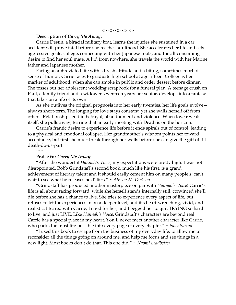#### $\langle$  >  $\langle$  >  $\langle$  >  $\langle$  >  $\langle$   $\rangle$

#### **Description of** *Carry Me Away***:**

Carrie Destin, a biracial military brat, learns the injuries she sustained in a car accident will prove fatal before she reaches adulthood. She accelerates her life and sets aggressive goals: college, connecting with her Japanese roots, and the all-consuming desire to find her soul mate. A kid from nowhere, she travels the world with her Marine father and Japanese mother.

Facing an abbreviated life with a brash attitude and a biting, sometimes morbid sense of humor, Carrie races to graduate high school at age fifteen. College is her marker of adulthood, when she can smoke in public and order dessert before dinner. She tosses out her adolescent wedding scrapbook for a funeral plan. A teenage crush on Paul, a family friend and a widower seventeen years her senior, develops into a fantasy that takes on a life of its own.

As she outlives the original prognosis into her early twenties, her life goals evolve always short-term. The longing for love stays constant, yet she walls herself off from others. Relationships end in betrayal, abandonment and violence. When love reveals itself, she pulls away, fearing that an early meeting with Death is on the horizon.

Carrie's frantic desire to experience life before it ends spirals out of control, leading to a physical and emotional collapse. Her grandmother's wisdom points her toward acceptance, but first she must break through her walls before she can give the gift of 'tildeath-do-us-part.

#### **Praise for** *Carry Me Away***:**

 $\sim\sim\sim$ 

"After the wonderful *Hannah's Voice*, my expectations were pretty high. I was not disappointed. Robb Grindstaff's second book, much like his first, is a grand achievement of literary talent and it should easily cement him on many people's 'can't wait to see what he releases next' lists." ~ *Allison M. Dickson*

"Grindstaff has produced another masterpiece on par with *Hannah's Voice*! Carrie's life is all about racing forward, while she herself stands internally still, convinced she'll die before she has a chance to live. She tries to experience every aspect of life, but refuses to let the experiences in on a deeper level, and it's heart-wrenching, vivid, and realistic. I feared with Carrie, I cried for her, and I begged her to quit TRYING so hard to live, and just LIVE. Like *Hannah's Voice*, Grindstaff's characters are beyond real. Carrie has a special place in my heart. You'll never meet another character like Carrie, who packs the most life possible into every page of every chapter." ~ *Nola Sarina*

"I used this book to escape from the business of my everyday life, to allow me to reconsider all the things going on around me, and help me focus and see things in a new light. Most books don't do that. This one did." ~ *Naomi Leadbetter*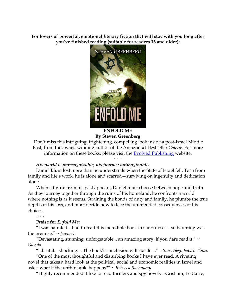**For lovers of powerful, emotional literary fiction that will stay with you long after you've finished reading (suitable for readers 16 and older):** 



## **ENFOLD ME By Steven Greenberg**

 Don't miss this intriguing, frightening, compelling look inside a post-Israel Middle East, from the award-winning author of the Amazon #1 Bestseller *Galerie*. For more information on these books, please visit the Evolved Publishing website.

 $\sim\sim\sim$ 

### *His world is unrecognizable, his journey unimaginable.*

Daniel Blum lost more than he understands when the State of Israel fell. Torn from family and life's work, he is alone and scarred—surviving on ingenuity and dedication alone.

When a figure from his past appears, Daniel must choose between hope and truth. As they journey together through the ruins of his homeland, he confronts a world where nothing is as it seems. Straining the bonds of duty and family, he plumbs the true depths of his loss, and must decide how to face the unintended consequences of his choices.

#### $\sim\sim\sim$ **Praise for** *Enfold Me***:**

"I was haunted... had to read this incredible book in short doses... so haunting was the premise." ~ *Jewneric*

"Devastating, stunning, unforgettable... an amazing story, if you dare read it."  $\sim$ *Glenda*

"...brutal... shocking.... The book's conclusion will startle...." – *San Diego Jewish Times*

"One of the most thoughtful and disturbing books I have ever read. A riveting novel that takes a hard look at the political, social and economic realities in Israel and asks--what if the unthinkable happens?" ~ *Rebecca Rachmany*

"Highly recommended! I like to read thrillers and spy novels—Grisham, Le Carre,